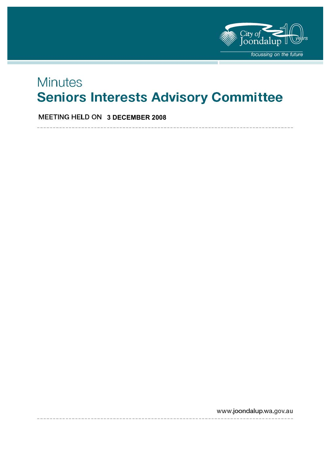

# **Minutes Seniors Interests Advisory Committee**

 **3 DECEMBER 2008** 

www.joondalup.wa.gov.au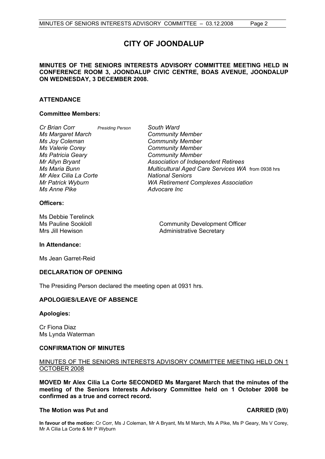## **CITY OF JOONDALUP**

### **MINUTES OF THE SENIORS INTERESTS ADVISORY COMMITTEE MEETING HELD IN CONFERENCE ROOM 3, JOONDALUP CIVIC CENTRE, BOAS AVENUE, JOONDALUP ON WEDNESDAY, 3 DECEMBER 2008.**

### **ATTENDANCE**

### **Committee Members:**

| Cr Brian Corr            | <b>Presiding Person</b> | South Ward                                        |
|--------------------------|-------------------------|---------------------------------------------------|
| <b>Ms Margaret March</b> |                         | <b>Community Member</b>                           |
| Ms Joy Coleman           |                         | <b>Community Member</b>                           |
| Ms Valerie Corey         |                         | <b>Community Member</b>                           |
| <b>Ms Patricia Geary</b> |                         | <b>Community Member</b>                           |
| Mr Allyn Bryant          |                         | <b>Association of Independent Retirees</b>        |
| Ms Maria Bunn            |                         | Multicultural Aged Care Services WA from 0938 hrs |
| Mr Alex Cilia La Corte   |                         | <b>National Seniors</b>                           |
| Mr Patrick Wyburn        |                         | <b>WA Retirement Complexes Association</b>        |
| <b>Ms Anne Pike</b>      |                         | Advocare Inc                                      |
|                          |                         |                                                   |

### **Officers:**

Ms Debbie Terelinck

Ms Pauline Sookloll **Community Development Officer** Mrs Jill Hewison **Administrative Secretary** 

### **In Attendance:**

Ms Jean Garret-Reid

### **DECLARATION OF OPENING**

The Presiding Person declared the meeting open at 0931 hrs.

### **APOLOGIES/LEAVE OF ABSENCE**

### **Apologies:**

Cr Fiona Diaz Ms Lynda Waterman

### **CONFIRMATION OF MINUTES**

### MINUTES OF THE SENIORS INTERESTS ADVISORY COMMITTEE MEETING HELD ON 1 OCTOBER 2008

**MOVED Mr Alex Cilia La Corte SECONDED Ms Margaret March that the minutes of the meeting of the Seniors Interests Advisory Committee held on 1 October 2008 be confirmed as a true and correct record.** 

### **The Motion was Put and CARRIED (9/0) CARRIED (9/0)**

**In favour of the motion:** Cr Corr, Ms J Coleman, Mr A Bryant, Ms M March, Ms A Pike, Ms P Geary, Ms V Corey, Mr A Cilia La Corte & Mr P Wyburn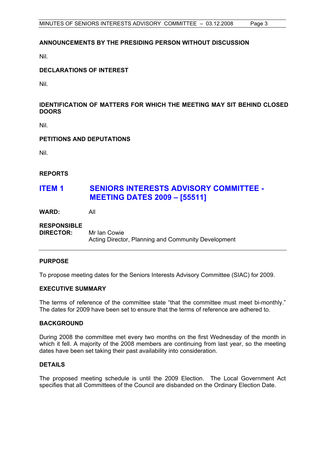### **ANNOUNCEMENTS BY THE PRESIDING PERSON WITHOUT DISCUSSION**

Nil.

### **DECLARATIONS OF INTEREST**

Nil.

### **IDENTIFICATION OF MATTERS FOR WHICH THE MEETING MAY SIT BEHIND CLOSED DOORS**

Nil.

### **PETITIONS AND DEPUTATIONS**

Nil.

### **REPORTS**

## **ITEM 1 SENIORS INTERESTS ADVISORY COMMITTEE - MEETING DATES 2009 – [55511]**

**WARD:** All

## **RESPONSIBLE DIRECTOR:** Mr Ian Cowie Acting Director, Planning and Community Development

### **PURPOSE**

To propose meeting dates for the Seniors Interests Advisory Committee (SIAC) for 2009.

### **EXECUTIVE SUMMARY**

The terms of reference of the committee state "that the committee must meet bi-monthly." The dates for 2009 have been set to ensure that the terms of reference are adhered to.

### **BACKGROUND**

During 2008 the committee met every two months on the first Wednesday of the month in which it fell. A majority of the 2008 members are continuing from last year, so the meeting dates have been set taking their past availability into consideration.

### **DETAILS**

The proposed meeting schedule is until the 2009 Election. The Local Government Act specifies that all Committees of the Council are disbanded on the Ordinary Election Date.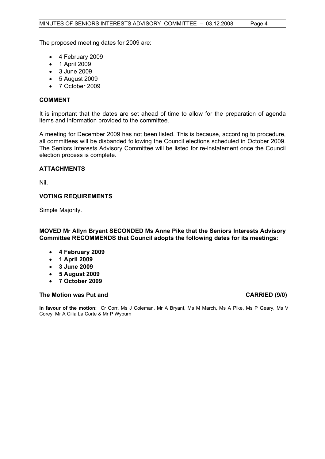The proposed meeting dates for 2009 are:

- 4 February 2009
- 1 April 2009
- 3 June 2009
- 5 August 2009
- 7 October 2009

### **COMMENT**

It is important that the dates are set ahead of time to allow for the preparation of agenda items and information provided to the committee.

A meeting for December 2009 has not been listed. This is because, according to procedure, all committees will be disbanded following the Council elections scheduled in October 2009. The Seniors Interests Advisory Committee will be listed for re-instatement once the Council election process is complete.

### **ATTACHMENTS**

Nil.

### **VOTING REQUIREMENTS**

Simple Majority.

### **MOVED Mr Allyn Bryant SECONDED Ms Anne Pike that the Seniors Interests Advisory Committee RECOMMENDS that Council adopts the following dates for its meetings:**

- **4 February 2009**
- **1 April 2009**
- **3 June 2009**
- **5 August 2009**
- **7 October 2009**

### The Motion was Put and **CARRIED** (9/0)

**In favour of the motion:** Cr Corr, Ms J Coleman, Mr A Bryant, Ms M March, Ms A Pike, Ms P Geary, Ms V Corey, Mr A Cilia La Corte & Mr P Wyburn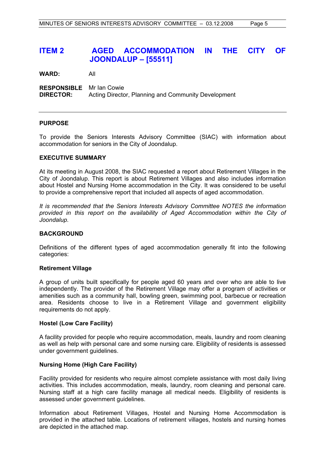## **ITEM 2 AGED ACCOMMODATION IN THE CITY OF JOONDALUP – [55511]**

**WARD:** All

**RESPONSIBLE** Mr Ian Cowie **DIRECTOR:** Acting Director, Planning and Community Development

### **PURPOSE**

To provide the Seniors Interests Advisory Committee (SIAC) with information about accommodation for seniors in the City of Joondalup.

### **EXECUTIVE SUMMARY**

At its meeting in August 2008, the SIAC requested a report about Retirement Villages in the City of Joondalup. This report is about Retirement Villages and also includes information about Hostel and Nursing Home accommodation in the City. It was considered to be useful to provide a comprehensive report that included all aspects of aged accommodation.

*It is recommended that the Seniors Interests Advisory Committee NOTES the information provided in this report on the availability of Aged Accommodation within the City of Joondalup.* 

### **BACKGROUND**

Definitions of the different types of aged accommodation generally fit into the following categories:

### **Retirement Village**

A group of units built specifically for people aged 60 years and over who are able to live independently. The provider of the Retirement Village may offer a program of activities or amenities such as a community hall, bowling green, swimming pool, barbecue or recreation area. Residents choose to live in a Retirement Village and government eligibility requirements do not apply.

### **Hostel (Low Care Facility)**

A facility provided for people who require accommodation, meals, laundry and room cleaning as well as help with personal care and some nursing care. Eligibility of residents is assessed under government guidelines.

### **Nursing Home (High Care Facility)**

Facility provided for residents who require almost complete assistance with most daily living activities. This includes accommodation, meals, laundry, room cleaning and personal care. Nursing staff at a high care facility manage all medical needs. Eligibility of residents is assessed under government guidelines.

Information about Retirement Villages, Hostel and Nursing Home Accommodation is provided in the attached table. Locations of retirement villages, hostels and nursing homes are depicted in the attached map.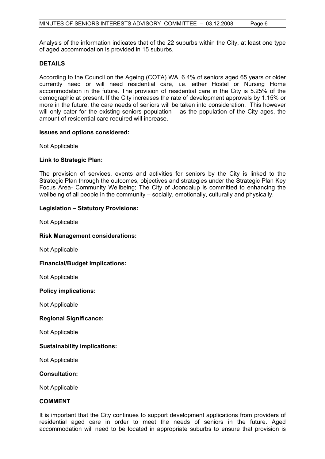Analysis of the information indicates that of the 22 suburbs within the City, at least one type of aged accommodation is provided in 15 suburbs.

### **DETAILS**

According to the Council on the Ageing (COTA) WA, 6.4% of seniors aged 65 years or older currently need or will need residential care, i.e. either Hostel or Nursing Home accommodation in the future. The provision of residential care in the City is 5.25% of the demographic at present. If the City increases the rate of development approvals by 1.15% or more in the future, the care needs of seniors will be taken into consideration. This however will only cater for the existing seniors population – as the population of the City ages, the amount of residential care required will increase.

### **Issues and options considered:**

Not Applicable

### **Link to Strategic Plan:**

The provision of services, events and activities for seniors by the City is linked to the Strategic Plan through the outcomes, objectives and strategies under the Strategic Plan Key Focus Area- Community Wellbeing; The City of Joondalup is committed to enhancing the wellbeing of all people in the community – socially, emotionally, culturally and physically.

### **Legislation – Statutory Provisions:**

Not Applicable

### **Risk Management considerations:**

Not Applicable

### **Financial/Budget Implications:**

Not Applicable

### **Policy implications:**

Not Applicable

### **Regional Significance:**

Not Applicable

### **Sustainability implications:**

Not Applicable

### **Consultation:**

Not Applicable

### **COMMENT**

It is important that the City continues to support development applications from providers of residential aged care in order to meet the needs of seniors in the future. Aged accommodation will need to be located in appropriate suburbs to ensure that provision is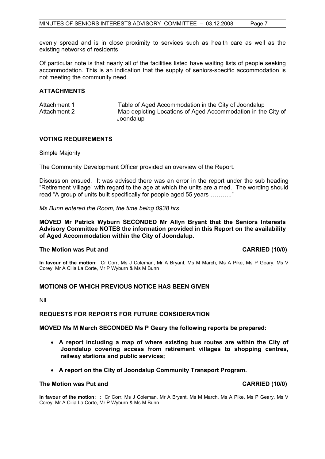evenly spread and is in close proximity to services such as health care as well as the existing networks of residents.

Of particular note is that nearly all of the facilities listed have waiting lists of people seeking accommodation. This is an indication that the supply of seniors-specific accommodation is not meeting the community need.

### **ATTACHMENTS**

| Attachment 1 | Table of Aged Accommodation in the City of Joondalup         |
|--------------|--------------------------------------------------------------|
| Attachment 2 | Map depicting Locations of Aged Accommodation in the City of |
|              | Joondalup                                                    |

### **VOTING REQUIREMENTS**

Simple Majority

The Community Development Officer provided an overview of the Report.

Discussion ensued. It was advised there was an error in the report under the sub heading "Retirement Village" with regard to the age at which the units are aimed. The wording should read "A group of units built specifically for people aged 55 years ……….."

*Ms Bunn entered the Room, the time being 0938 hrs* 

**MOVED Mr Patrick Wyburn SECONDED Mr Allyn Bryant that the Seniors Interests Advisory Committee NOTES the information provided in this Report on the availability of Aged Accommodation within the City of Joondalup.** 

### **The Motion was Put and CARRIED (10/0) CARRIED** (10/0)

**In favour of the motion:** Cr Corr, Ms J Coleman, Mr A Bryant, Ms M March, Ms A Pike, Ms P Geary, Ms V Corey, Mr A Cilia La Corte, Mr P Wyburn & Ms M Bunn

### **MOTIONS OF WHICH PREVIOUS NOTICE HAS BEEN GIVEN**

Nil.

### **REQUESTS FOR REPORTS FOR FUTURE CONSIDERATION**

**MOVED Ms M March SECONDED Ms P Geary the following reports be prepared:** 

- **A report including a map of where existing bus routes are within the City of Joondalup covering access from retirement villages to shopping centres, railway stations and public services;**
- **A report on the City of Joondalup Community Transport Program.**

### **The Motion was Put and CARRIED (10/0)**

**In favour of the motion: :** Cr Corr, Ms J Coleman, Mr A Bryant, Ms M March, Ms A Pike, Ms P Geary, Ms V Corey, Mr A Cilia La Corte, Mr P Wyburn & Ms M Bunn